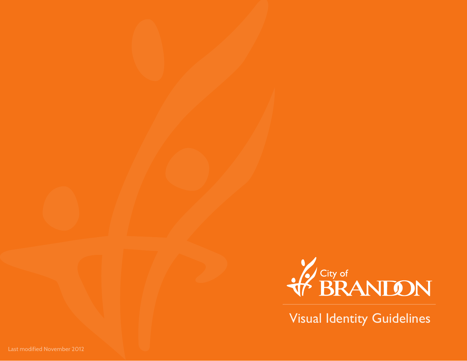

Visual Identity Guidelines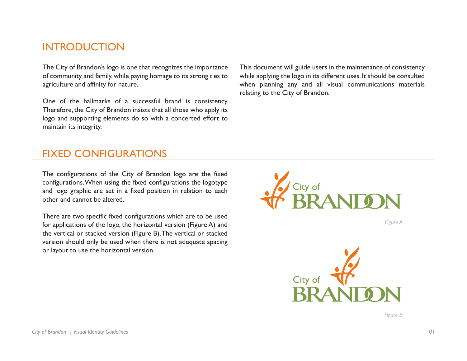# INTRODUCTION

The City of Brandon's logo is one that recognizes the importance of community and family, while paying homage to its strong ties to agriculture and affinity for nature.

One of the hallmarks of a successful brand is consistency. Therefore, the City of Brandon insists that all those who apply its logo and supporting elements do so with a concerted effort to maintain its integrity.

This document will guide users in the maintenance of consistency while applying the logo in its different uses. It should be consulted when planning any and all visual communications materials relating to the City of Brandon.

## FIXED CONFIGURATIONS

The configurations of the City of Brandon logo are the fixed configurations. When using the fixed configurations the logotype and logo graphic are set in a fixed position in relation to each other and cannot be altered.

There are two specific fixed configurations which are to be used for applications of the logo, the horizontal version (Figure A) and the vertical or stacked version (Figure B). The vertical or stacked version should only be used when there is not adequate spacing or layout to use the horizontal version.



*Figure A*



*Figure B*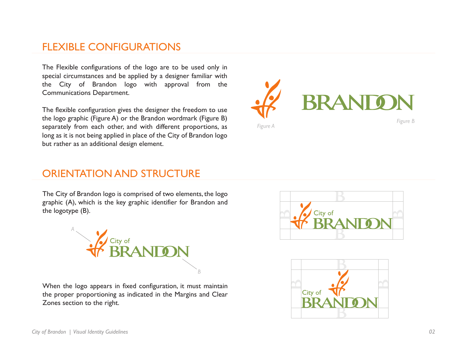## FLEXIBLE CONFIGURATIONS

The Flexible configurations of the logo are to be used only in special circumstances and be applied by a designer familiar with the City of Brandon logo with approval from the Communications Department.

The flexible configuration gives the designer the freedom to use the logo graphic (Figure A) or the Brandon wordmark (Figure B) separately from each other, and with different proportions, as long as it is not being applied in place of the City of Brandon logo but rather as an additional design element.



ORIENTATION AND STRUCTURE

The City of Brandon logo is comprised of two elements, the logo graphic (A), which is the key graphic identifier for Brandon and the logotype (B).



When the logo appears in fixed configuration, it must maintain the proper proportioning as indicated in the Margins and Clear Zones section to the right.



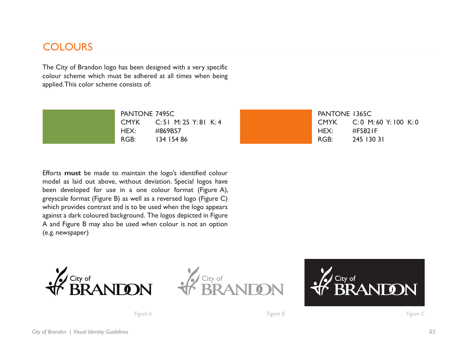## **COLOURS**

The City of Brandon logo has been designed with a very specific colour scheme which must be adhered at all times when being applied. This color scheme consists of:



Efforts **must** be made to maintain the logo's identified colour model as laid out above, without deviation. Special logos have been developed for use in a one colour format (Figure A), greyscale format (Figure B) as well as a reversed logo (Figure C) which provides contrast and is to be used when the logo appears against a dark coloured background. The logos depicted in Figure A and Figure B may also be used when colour is not an option (e.g. newspaper)







*Figure A Figure B Figure C*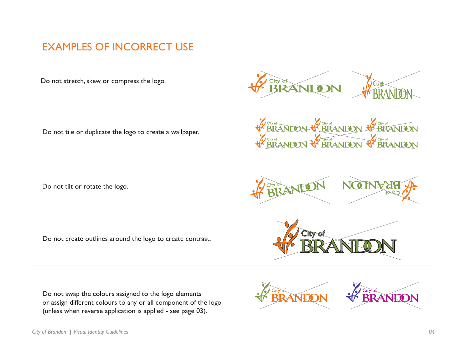# EXAMPLES OF INCORRECT USE

Do not stretch, skew or compress the logo.

Do not tile or duplicate the logo to create a wallpaper.

Do not tilt or rotate the logo.

Do not create outlines around the logo to create contrast.

Do not swap the colours assigned to the logo elements or assign different colours to any or all component of the logo (unless when reverse application is applied - see page 03).



City of **BRANTON** 

*FCity of*<br>**BRANION** 

City of<br>**BRANION** 





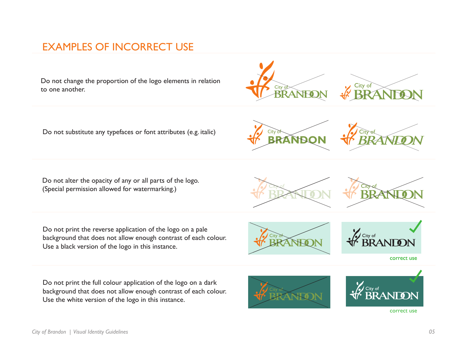# EXAMPLES OF INCORRECT USE

Do not change the proportion of the logo elements in relation to one another.



Do not substitute any typefaces or font attributes (e.g. italic)



Do not alter the opacity of any or all parts of the logo. (Special permission allowed for watermarking.)

Do not print the reverse application of the logo on a pale background that does not allow enough contrast of each colour. Use a black version of the logo in this instance.

Do not print the full colour application of the logo on a dark background that does not allow enough contrast of each colour. Use the white version of the logo in this instance.



City of



correct use